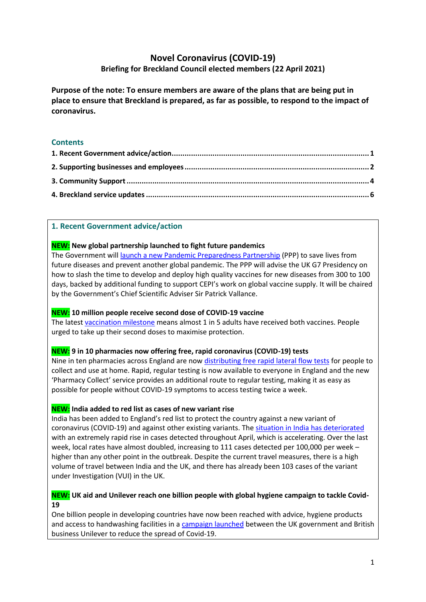# **Novel Coronavirus (COVID-19) Briefing for Breckland Council elected members (22 April 2021)**

**Purpose of the note: To ensure members are aware of the plans that are being put in place to ensure that Breckland is prepared, as far as possible, to respond to the impact of coronavirus.**

# **Contents**

### <span id="page-0-0"></span>**1. Recent Government advice/action**

### **NEW: New global partnership launched to fight future pandemics**

The Government will [launch a new Pandemic Preparedness Partnership](https://www.gov.uk/government/news/new-global-partnership-launched-to-fight-future-pandemics) (PPP) to save lives from future diseases and prevent another global pandemic. The PPP will advise the UK G7 Presidency on how to slash [the time to develop and deploy high quality vaccines](https://www.g7uk.org/pm-announces-100-day-target-to-create-new-vaccines/) for new diseases from 300 to 100 days, backed by additional funding to support CEPI's work on global vaccine supply. It will be chaired by the Government's Chief Scientific Adviser Sir Patrick Vallance.

# **NEW: 10 million people receive second dose of COVID-19 vaccine**

The lates[t vaccination milestone](https://www.gov.uk/government/news/10-million-people-receive-second-dose-of-covid-19-vaccine) means almost 1 in 5 adults have received both vaccines. People urged to take up their second doses to maximise protection.

#### **NEW: 9 in 10 pharmacies now offering free, rapid coronavirus (COVID-19) tests**

Nine in ten pharmacies across England are no[w distributing free rapid lateral flow tests](https://www.gov.uk/government/news/9-in-10-pharmacies-now-offering-free-rapid-coronavirus-covid-19-tests) for people to collect and use at home. Rapid, regular testing is now available to everyone in England and the new 'Pharmacy Collect' service provides an additional route to regular testing, making it as easy as possible for people without COVID-19 symptoms to access testing twice a week.

# **NEW: India added to red list as cases of new variant rise**

India has been added to [England's red list](https://www.gov.uk/guidance/transport-measures-to-protect-the-uk-from-variant-strains-of-covid-19) to protect the country against a new variant of coronavirus (COVID-19) and against other existing variants. The [situation in India has deteriorated](https://www.gov.uk/government/news/india-added-to-red-list-as-cases-of-new-variant-rise) with an extremely rapid rise in cases detected throughout April, which is accelerating. Over the last week, local rates have almost doubled, increasing to 111 cases detected per 100,000 per week – higher than any other point in the outbreak. Despite the current travel measures, there is a high volume of travel between India and the UK, and there has already been 103 cases of the variant under Investigation (VUI) in the UK.

# **NEW: UK aid and Unilever reach one billion people with global hygiene campaign to tackle Covid-19**

One billion people in developing countries have now been reached with advice, hygiene products and access to handwashing facilities in a [campaign launched](https://www.gov.uk/government/news/uk-aid-and-unilever-reach-one-billion-people-with-global-hygiene-campaign-to-tackle-covid-19) between the UK government and British business Unilever to reduce the spread of Covid-19.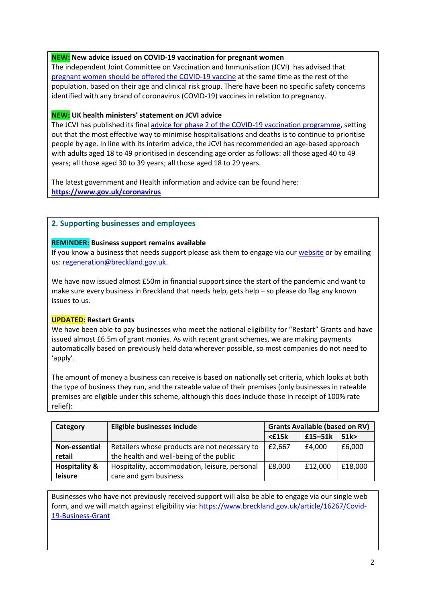## **NEW: New advice issued on COVID-19 vaccination for pregnant women**

The independent Joint Committee on Vaccination and Immunisation (JCVI) has advised that [pregnant women should be offered the COVID-19 vaccine](https://www.gov.uk/government/news/jcvi-issues-new-advice-on-covid-19-vaccination-for-pregnant-women) at the same time as the rest of the population, based on their age and clinical risk group. There have been no specific safety concerns identified with any brand of coronavirus (COVID-19) vaccines in relation to pregnancy.

### **NEW: UK health ministers' statement on JCVI advice**

The JCVI has published its final [advice for phase 2 of the COVID-19 vaccination programme,](https://www.gov.uk/government/news/uk-health-ministers-statement-on-jcvi-advice-13-april-2021) setting out that the most effective way to minimise hospitalisations and deaths is to continue to prioritise people by age. In line with its interim advice, the JCVI has recommended an age-based approach with adults aged 18 to 49 prioritised in descending age order as follows: all those aged 40 to 49 years; all those aged 30 to 39 years; all those aged 18 to 29 years.

The latest government and Health information and advice can be found here: **<https://www.gov.uk/coronavirus>**

### <span id="page-1-0"></span>**2. Supporting businesses and employees**

#### **REMINDER: Business support remains available**

If you know a business that needs support please ask them to engage via our [website](https://www.breckland.gov.uk/article/15960/Grant-Information) or by emailing us[: regeneration@breckland.gov.uk.](mailto:regeneration@breckland.gov.uk)

We have now issued almost £50m in financial support since the start of the pandemic and want to make sure every business in Breckland that needs help, gets help – so please do flag any known issues to us.

### **UPDATED: Restart Grants**

We have been able to pay businesses who meet the national eligibility for "Restart" Grants and have issued almost £6.5m of grant monies. As with recent grant schemes, we are making payments automatically based on previously held data wherever possible, so most companies do not need to 'apply'.

The amount of money a business can receive is based on nationally set criteria, which looks at both the type of business they run, and the rateable value of their premises (only businesses in rateable premises are eligible under this scheme, although this does include those in receipt of 100% rate relief):

| Category                 | Eligible businesses include                   | <b>Grants Available (based on RV)</b> |           |         |
|--------------------------|-----------------------------------------------|---------------------------------------|-----------|---------|
|                          |                                               | $<$ £15 $k$                           | $£15-51k$ | 51k     |
| Non-essential            | Retailers whose products are not necessary to | £2,667                                | £4.000    | £6,000  |
| retail                   | the health and well-being of the public       |                                       |           |         |
| <b>Hospitality &amp;</b> | Hospitality, accommodation, leisure, personal | £8,000                                | £12,000   | £18,000 |
| leisure                  | care and gym business                         |                                       |           |         |

Businesses who have not previously received support will also be able to engage via our single web form, and we will match against eligibility via: [https://www.breckland.gov.uk/article/16267/Covid-](https://www.breckland.gov.uk/article/16267/Covid-19-Business-Grant)[19-Business-Grant](https://www.breckland.gov.uk/article/16267/Covid-19-Business-Grant)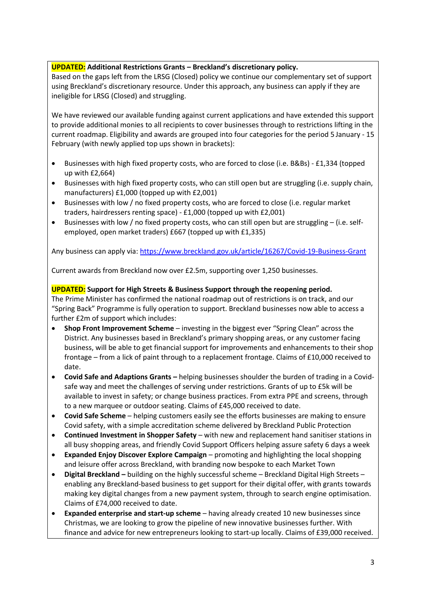# **UPDATED: Additional Restrictions Grants – Breckland's discretionary policy.**

Based on the gaps left from the LRSG (Closed) policy we continue our complementary set of support using Breckland's discretionary resource. Under this approach, any business can apply if they are ineligible for LRSG (Closed) and struggling.

We have reviewed our available funding against current applications and have extended this support to provide additional monies to all recipients to cover businesses through to restrictions lifting in the current roadmap. Eligibility and awards are grouped into four categories for the period 5 January - 15 February (with newly applied top ups shown in brackets):

- Businesses with high fixed property costs, who are forced to close (i.e. B&Bs) £1,334 (topped up with £2,664)
- Businesses with high fixed property costs, who can still open but are struggling (i.e. supply chain, manufacturers) £1,000 (topped up with £2,001)
- Businesses with low / no fixed property costs, who are forced to close (i.e. regular market traders, hairdressers renting space) - £1,000 (topped up with £2,001)
- Businesses with low / no fixed property costs, who can still open but are struggling (i.e. selfemployed, open market traders) £667 (topped up with £1,335)

Any business can apply via[: https://www.breckland.gov.uk/article/16267/Covid-19-Business-Grant](https://www.breckland.gov.uk/article/16267/Covid-19-Business-Grant)

Current awards from Breckland now over £2.5m, supporting over 1,250 businesses.

# **UPDATED: Support for High Streets & Business Support through the reopening period.**

The Prime Minister has confirmed the national roadmap out of restrictions is on track, and our "Spring Back" Programme is fully operation to support. Breckland businesses now able to access a further £2m of support which includes:

- **Shop Front Improvement Scheme**  investing in the biggest ever "Spring Clean" across the District. Any businesses based in Breckland's primary shopping areas, or any customer facing business, will be able to get financial support for improvements and enhancements to their shop frontage – from a lick of paint through to a replacement frontage. Claims of £10,000 received to date.
- **Covid Safe and Adaptions Grants –** helping businesses shoulder the burden of trading in a Covidsafe way and meet the challenges of serving under restrictions. Grants of up to £5k will be available to invest in safety; or change business practices. From extra PPE and screens, through to a new marquee or outdoor seating. Claims of £45,000 received to date.
- **Covid Safe Scheme**  helping customers easily see the efforts businesses are making to ensure Covid safety, with a simple accreditation scheme delivered by Breckland Public Protection
- **Continued Investment in Shopper Safety**  with new and replacement hand sanitiser stations in all busy shopping areas, and friendly Covid Support Officers helping assure safety 6 days a week
- **Expanded Enjoy Discover Explore Campaign**  promoting and highlighting the local shopping and leisure offer across Breckland, with branding now bespoke to each Market Town
- **Digital Breckland –** building on the highly successful scheme Breckland Digital High Streets enabling any Breckland-based business to get support for their digital offer, with grants towards making key digital changes from a new payment system, through to search engine optimisation. Claims of £74,000 received to date.
- **Expanded enterprise and start-up scheme**  having already created 10 new businesses since Christmas, we are looking to grow the pipeline of new innovative businesses further. With finance and advice for new entrepreneurs looking to start-up locally. Claims of £39,000 received.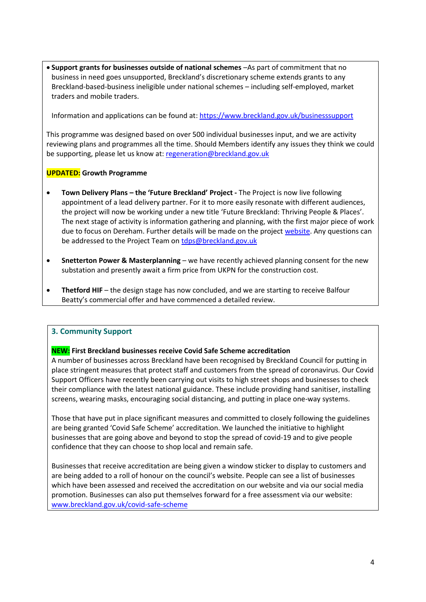• **Support grants for businesses outside of national schemes** –As part of commitment that no business in need goes unsupported, Breckland's discretionary scheme extends grants to any Breckland-based-business ineligible under national schemes – including self-employed, market traders and mobile traders.

Information and applications can be found at: <https://www.breckland.gov.uk/businesssupport>

This programme was designed based on over 500 individual businesses input, and we are activity reviewing plans and programmes all the time. Should Members identify any issues they think we could be supporting, please let us know at: [regeneration@breckland.gov.uk](mailto:regeneration@breckland.gov.uk)

# **UPDATED: Growth Programme**

- **Town Delivery Plans – the 'Future Breckland' Project -** The Project is now live following appointment of a lead delivery partner. For it to more easily resonate with different audiences, the project will now be working under a new title 'Future Breckland: Thriving People & Places'. The next stage of activity is information gathering and planning, with the first major piece of work due to focus on Dereham. Further details will be made on the project [website.](https://www.breckland.gov.uk/future-breckland) Any questions can be addressed to the Project Team on [tdps@breckland.gov.uk](mailto:tdps@breckland.gov.uk)
- **Snetterton Power & Masterplanning**  we have recently achieved planning consent for the new substation and presently await a firm price from UKPN for the construction cost.
- **Thetford HIF** the design stage has now concluded, and we are starting to receive Balfour Beatty's commercial offer and have commenced a detailed review.

# <span id="page-3-0"></span>**3. Community Support**

#### **NEW: First Breckland businesses receive Covid Safe Scheme accreditation**

A number of businesses across Breckland have been recognised by Breckland Council for putting in place stringent measures that protect staff and customers from the spread of coronavirus. Our Covid Support Officers have recently been carrying out visits to high street shops and businesses to check their compliance with the latest national guidance. These include providing hand sanitiser, installing screens, wearing masks, encouraging social distancing, and putting in place one-way systems.

Those that have put in place significant measures and committed to closely following the guidelines are being granted 'Covid Safe Scheme' accreditation. We launched the initiative to highlight businesses that are going above and beyond to stop the spread of covid-19 and to give people confidence that they can choose to shop local and remain safe.

Businesses that receive accreditation are being given a window sticker to display to customers and are being added to a roll of honour on the council's website. People can see a list of businesses which have been assessed and received the accreditation on our website and via our social media promotion. Businesses can also put themselves forward for a free assessment via our website: [www.breckland.gov.uk/covid-safe-scheme](http://www.breckland.gov.uk/covid-safe-scheme)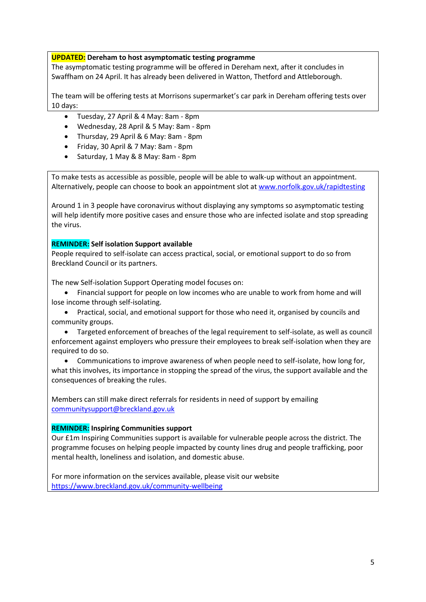### **UPDATED: Dereham to host asymptomatic testing programme**

The asymptomatic testing programme will be offered in Dereham next, after it concludes in Swaffham on 24 April. It has already been delivered in Watton, Thetford and Attleborough.

The team will be offering tests at Morrisons supermarket's car park in Dereham offering tests over 10 days:

- Tuesday, 27 April & 4 May: 8am 8pm
- Wednesday, 28 April & 5 May: 8am 8pm
- Thursday, 29 April & 6 May: 8am 8pm
- Friday, 30 April & 7 May: 8am 8pm
- Saturday, 1 May & 8 May: 8am 8pm

To make tests as accessible as possible, people will be able to walk-up without an appointment. Alternatively, people can choose to book an appointment slot a[t www.norfolk.gov.uk/rapidtesting](http://www.norfolk.gov.uk/rapidtesting)

Around 1 in 3 people have coronavirus without displaying any symptoms so asymptomatic testing will help identify more positive cases and ensure those who are infected isolate and stop spreading the virus.

### **REMINDER: Self isolation Support available**

People required to self-isolate can access practical, social, or emotional support to do so from Breckland Council or its partners.

The new Self-isolation Support Operating model focuses on:

- Financial support for people on low incomes who are unable to work from home and will lose income through self-isolating.
- Practical, social, and emotional support for those who need it, organised by councils and community groups.

• Targeted enforcement of breaches of the legal requirement to self-isolate, as well as council enforcement against employers who pressure their employees to break self-isolation when they are required to do so.

• Communications to improve awareness of when people need to self-isolate, how long for, what this involves, its importance in stopping the spread of the virus, the support available and the consequences of breaking the rules.

Members can still make direct referrals for residents in need of support by emailing [communitysupport@breckland.gov.uk](mailto:communitysupport@breckland.gov.uk)

#### **REMINDER: Inspiring Communities support**

Our £1m Inspiring Communities support is available for vulnerable people across the district. The programme focuses on helping people impacted by county lines drug and people trafficking, poor mental health, loneliness and isolation, and domestic abuse.

<span id="page-4-0"></span>For more information on the services available, please visit our website <https://www.breckland.gov.uk/community-wellbeing>